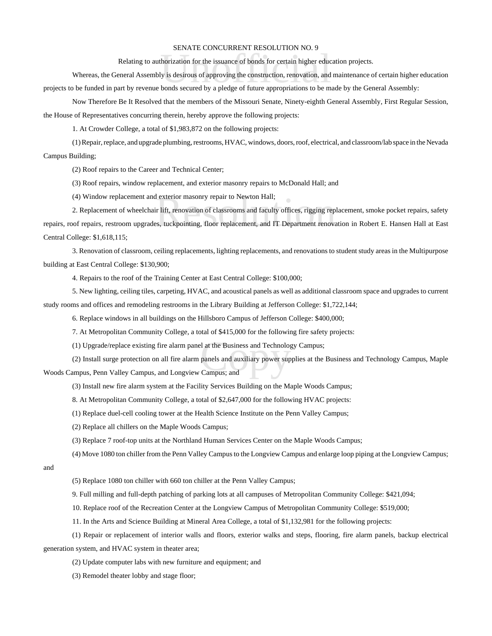## SENATE CONCURRENT RESOLUTION NO. 9

Relating to authorization for the issuance of bonds for certain higher education projects.

BERVITE CONCORNERY RESOLUTION NO. 5<br>horization for the issuance of bonds for certain higher educ<br>ly is desirous of approving the construction, renovation, and<br>bonds secured by a pledge of future appropriations to be m Whereas, the General Assembly is desirous of approving the construction, renovation, and maintenance of certain higher education projects to be funded in part by revenue bonds secured by a pledge of future appropriations to be made by the General Assembly:

Now Therefore Be It Resolved that the members of the Missouri Senate, Ninety-eighth General Assembly, First Regular Session, the House of Representatives concurring therein, hereby approve the following projects:

1. At Crowder College, a total of \$1,983,872 on the following projects:

(1) Repair, replace, and upgrade plumbing, restrooms, HVAC, windows, doors, roof, electrical, and classroom/lab space in the Nevada Campus Building;

(2) Roof repairs to the Career and Technical Center;

(3) Roof repairs, window replacement, and exterior masonry repairs to McDonald Hall; and

(4) Window replacement and exterior masonry repair to Newton Hall;

l exterior masonry repair to Newton Hall;<br>ir lift, renovation of classrooms and faculty offices, rigging rep<br>is, tuckpointing, floor replacement, and IT Department renova 2. Replacement of wheelchair lift, renovation of classrooms and faculty offices, rigging replacement, smoke pocket repairs, safety repairs, roof repairs, restroom upgrades, tuckpointing, floor replacement, and IT Department renovation in Robert E. Hansen Hall at East Central College: \$1,618,115;

3. Renovation of classroom, ceiling replacements, lighting replacements, and renovations to student study areas in the Multipurpose building at East Central College: \$130,900;

4. Repairs to the roof of the Training Center at East Central College: \$100,000;

5. New lighting, ceiling tiles, carpeting, HVAC, and acoustical panels as well as additional classroom space and upgrades to current study rooms and offices and remodeling restrooms in the Library Building at Jefferson College: \$1,722,144;

6. Replace windows in all buildings on the Hillsboro Campus of Jefferson College: \$400,000;

7. At Metropolitan Community College, a total of \$415,000 for the following fire safety projects:

(1) Upgrade/replace existing fire alarm panel at the Business and Technology Campus;

I at the Business and Technolog<br>panels and auxiliary power sup<br>Campus; and (2) Install surge protection on all fire alarm panels and auxiliary power supplies at the Business and Technology Campus, Maple Woods Campus, Penn Valley Campus, and Longview Campus; and

(3) Install new fire alarm system at the Facility Services Building on the Maple Woods Campus;

8. At Metropolitan Community College, a total of \$2,647,000 for the following HVAC projects:

(1) Replace duel-cell cooling tower at the Health Science Institute on the Penn Valley Campus;

(2) Replace all chillers on the Maple Woods Campus;

(3) Replace 7 roof-top units at the Northland Human Services Center on the Maple Woods Campus;

(4) Move 1080 ton chiller from the Penn Valley Campus to the Longview Campus and enlarge loop piping at the Longview Campus;

and

(5) Replace 1080 ton chiller with 660 ton chiller at the Penn Valley Campus;

9. Full milling and full-depth patching of parking lots at all campuses of Metropolitan Community College: \$421,094;

10. Replace roof of the Recreation Center at the Longview Campus of Metropolitan Community College: \$519,000;

11. In the Arts and Science Building at Mineral Area College, a total of \$1,132,981 for the following projects:

(1) Repair or replacement of interior walls and floors, exterior walks and steps, flooring, fire alarm panels, backup electrical generation system, and HVAC system in theater area;

(2) Update computer labs with new furniture and equipment; and

(3) Remodel theater lobby and stage floor;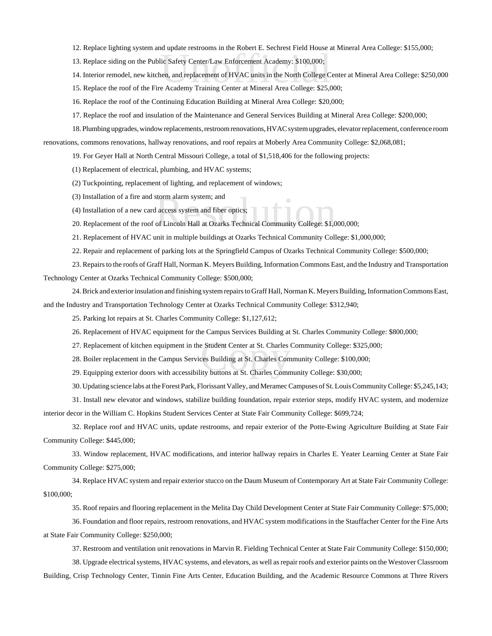- 12. Replace lighting system and update restrooms in the Robert E. Sechrest Field House at Mineral Area College: \$155,000;
- 13. Replace siding on the Public Safety Center/Law Enforcement Academy: \$100,000;
- ic Safety Center/Law Enforcement Academy: \$100,000;<br>lic Safety Center/Law Enforcement Academy: \$100,000;<br>en, and replacement of HVAC units in the North College C<br>e Academy Training Center at Mineral Area College: \$25.0 14. Interior remodel, new kitchen, and replacement of HVAC units in the North College Center at Mineral Area College: \$250,000
- 15. Replace the roof of the Fire Academy Training Center at Mineral Area College: \$25,000;
- 16. Replace the roof of the Continuing Education Building at Mineral Area College: \$20,000;
- 17. Replace the roof and insulation of the Maintenance and General Services Building at Mineral Area College: \$200,000;

18. Plumbing upgrades, window replacements, restroom renovations, HVAC system upgrades, elevator replacement, conference room

renovations, commons renovations, hallway renovations, and roof repairs at Moberly Area Community College: \$2,068,081;

- 19. For Geyer Hall at North Central Missouri College, a total of \$1,518,406 for the following projects:
- (1) Replacement of electrical, plumbing, and HVAC systems;
- (2) Tuckpointing, replacement of lighting, and replacement of windows;
- (3) Installation of a fire and storm alarm system; and
- (4) Installation of a new card access system and fiber optics;
- storm alarm system; and<br>l access system and fiber optics;<br>of Lincoln Hall at Ozarks Technical Community College: \$1,0 20. Replacement of the roof of Lincoln Hall at Ozarks Technical Community College: \$1,000,000;
- 21. Replacement of HVAC unit in multiple buildings at Ozarks Technical Community College: \$1,000,000;
- 22. Repair and replacement of parking lots at the Springfield Campus of Ozarks Technical Community College: \$500,000;

23. Repairs to the roofs of Graff Hall, Norman K. Meyers Building, Information Commons East, and the Industry and Transportation Technology Center at Ozarks Technical Community College: \$500,000;

24. Brick and exterior insulation and finishing system repairs to Graff Hall, Norman K. Meyers Building, Information Commons East, and the Industry and Transportation Technology Center at Ozarks Technical Community College: \$312,940;

25. Parking lot repairs at St. Charles Community College: \$1,127,612;

- 26. Replacement of HVAC equipment for the Campus Services Building at St. Charles Community College: \$800,000;
- 27. Replacement of kitchen equipment in the Student Center at St. Charles Community College: \$325,000;<br>28. Boiler replacement in the Campus Services Building at St. Charles Community College: \$100,000;<br>29. Equipping exteri
- 28. Boiler replacement in the Campus Services Building at St. Charles Community College: \$100,000;
- 29. Equipping exterior doors with accessibility buttons at St. Charles Community College: \$30,000;

30. Updating science labs at the Forest Park, Florissant Valley, and Meramec Campuses of St. Louis Community College: \$5,245,143;

31. Install new elevator and windows, stabilize building foundation, repair exterior steps, modify HVAC system, and modernize interior decor in the William C. Hopkins Student Services Center at State Fair Community College: \$699,724;

32. Replace roof and HVAC units, update restrooms, and repair exterior of the Potte-Ewing Agriculture Building at State Fair Community College: \$445,000;

33. Window replacement, HVAC modifications, and interior hallway repairs in Charles E. Yeater Learning Center at State Fair Community College: \$275,000;

34. Replace HVAC system and repair exterior stucco on the Daum Museum of Contemporary Art at State Fair Community College: \$100,000;

35. Roof repairs and flooring replacement in the Melita Day Child Development Center at State Fair Community College: \$75,000;

36. Foundation and floor repairs, restroom renovations, and HVAC system modifications in the Stauffacher Center for the Fine Arts at State Fair Community College: \$250,000;

37. Restroom and ventilation unit renovations in Marvin R. Fielding Technical Center at State Fair Community College: \$150,000;

38. Upgrade electrical systems, HVAC systems, and elevators, as well as repair roofs and exterior paints on the Westover Classroom Building, Crisp Technology Center, Tinnin Fine Arts Center, Education Building, and the Academic Resource Commons at Three Rivers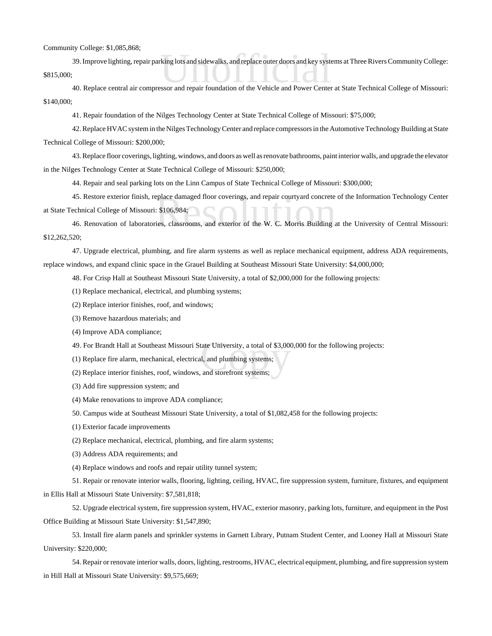## Community College: \$1,085,868;

king lots and sidewalks, and replace outer doors and key systems<br>or and repair foundation of the Vehicle and Power Center 39. Improve lighting, repair parking lots and sidewalks, and replace outer doors and key systems at Three Rivers Community College: \$815,000;

40. Replace central air compressor and repair foundation of the Vehicle and Power Center at State Technical College of Missouri: \$140,000;

41. Repair foundation of the Nilges Technology Center at State Technical College of Missouri: \$75,000;

42. Replace HVAC system in the Nilges Technology Center and replace compressors in the Automotive Technology Building at State Technical College of Missouri: \$200,000;

43. Replace floor coverings, lighting, windows, and doors as well as renovate bathrooms, paint interior walls, and upgrade the elevator in the Nilges Technology Center at State Technical College of Missouri: \$250,000;

44. Repair and seal parking lots on the Linn Campus of State Technical College of Missouri: \$300,000;

eplace damaged floor coverings, and repair courtyard concrete<br>
Silo (1984; Silo (1984; Silo 2014)<br>
Fig. classrooms, and exterior of the W. C. Morris Building<br>
Silo 2014 45. Restore exterior finish, replace damaged floor coverings, and repair courtyard concrete of the Information Technology Center at State Technical College of Missouri: \$106,984;

46. Renovation of laboratories, classrooms, and exterior of the W. C. Morris Building at the University of Central Missouri: \$12,262,520;

47. Upgrade electrical, plumbing, and fire alarm systems as well as replace mechanical equipment, address ADA requirements,

replace windows, and expand clinic space in the Grauel Building at Southeast Missouri State University: \$4,000,000;

48. For Crisp Hall at Southeast Missouri State University, a total of \$2,000,000 for the following projects:

(1) Replace mechanical, electrical, and plumbing systems;

(2) Replace interior finishes, roof, and windows;

(3) Remove hazardous materials; and

(4) Improve ADA compliance;

49. For Brandt Hall at Southeast Missouri State University, a total of \$3,000,000 for the following projects:<br>(1) Replace fire alarm, mechanical, electrical, and plumbing systems;<br>(2) Replace interior finishes, roof, windo

(1) Replace fire alarm, mechanical, electrical, and plumbing systems;

(2) Replace interior finishes, roof, windows, and storefront systems;

(3) Add fire suppression system; and

(4) Make renovations to improve ADA compliance;

50. Campus wide at Southeast Missouri State University, a total of \$1,082,458 for the following projects:

(1) Exterior facade improvements

(2) Replace mechanical, electrical, plumbing, and fire alarm systems;

(3) Address ADA requirements; and

(4) Replace windows and roofs and repair utility tunnel system;

51. Repair or renovate interior walls, flooring, lighting, ceiling, HVAC, fire suppression system, furniture, fixtures, and equipment in Ellis Hall at Missouri State University: \$7,581,818;

52. Upgrade electrical system, fire suppression system, HVAC, exterior masonry, parking lots, furniture, and equipment in the Post Office Building at Missouri State University: \$1,547,890;

53. Install fire alarm panels and sprinkler systems in Garnett Library, Putnam Student Center, and Looney Hall at Missouri State University: \$220,000;

54. Repair or renovate interior walls, doors, lighting, restrooms, HVAC, electrical equipment, plumbing, and fire suppression system in Hill Hall at Missouri State University: \$9,575,669;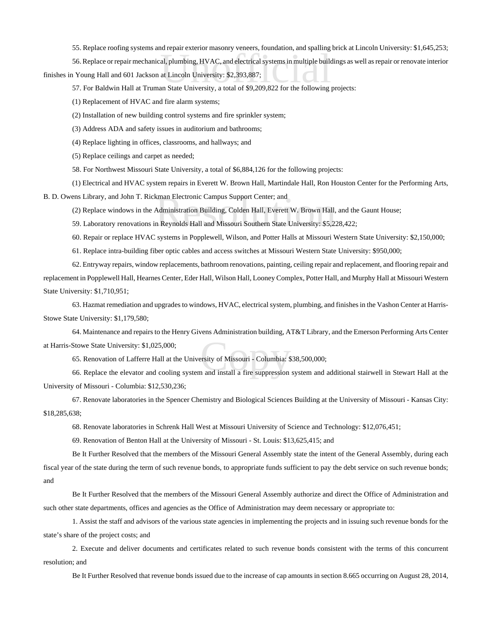55. Replace roofing systems and repair exterior masonry veneers, foundation, and spalling brick at Lincoln University: \$1,645,253;

al, plumbing, HVAC, and electrical systems in multiple build<br>at Lincoln University: \$2,393,887;<br>an State University. a total of \$9.209.822 for the following 56. Replace or repair mechanical, plumbing, HVAC, and electrical systems in multiple buildings as well as repair or renovate interior finishes in Young Hall and 601 Jackson at Lincoln University: \$2,393,887;

57. For Baldwin Hall at Truman State University, a total of \$9,209,822 for the following projects:

(1) Replacement of HVAC and fire alarm systems;

(2) Installation of new building control systems and fire sprinkler system;

(3) Address ADA and safety issues in auditorium and bathrooms;

(4) Replace lighting in offices, classrooms, and hallways; and

(5) Replace ceilings and carpet as needed;

58. For Northwest Missouri State University, a total of \$6,884,126 for the following projects:

(1) Electrical and HVAC system repairs in Everett W. Brown Hall, Martindale Hall, Ron Houston Center for the Performing Arts,

B. D. Owens Library, and John T. Rickman Electronic Campus Support Center; and

kman Electronic Campus Support Center; and<br>Administration Building, Colden Hall, Everett W. Brown Hall,<br>n Reynolds Hall and Missouri Southern State University: \$5,2: (2) Replace windows in the Administration Building, Colden Hall, Everett W. Brown Hall, and the Gaunt House;

59. Laboratory renovations in Reynolds Hall and Missouri Southern State University: \$5,228,422;

60. Repair or replace HVAC systems in Popplewell, Wilson, and Potter Halls at Missouri Western State University: \$2,150,000;

61. Replace intra-building fiber optic cables and access switches at Missouri Western State University: \$950,000;

62. Entryway repairs, window replacements, bathroom renovations, painting, ceiling repair and replacement, and flooring repair and replacement in Popplewell Hall, Hearnes Center, Eder Hall, Wilson Hall, Looney Complex, Potter Hall, and Murphy Hall at Missouri Western State University: \$1,710,951;

63. Hazmat remediation and upgrades to windows, HVAC, electrical system, plumbing, and finishes in the Vashon Center at Harris-Stowe State University: \$1,179,580;

ersity of Missouri - Columbia: \$<br>1 and install a fire suppression 64. Maintenance and repairs to the Henry Givens Administration building, AT&T Library, and the Emerson Performing Arts Center at Harris-Stowe State University: \$1,025,000;

65. Renovation of Lafferre Hall at the University of Missouri - Columbia: \$38,500,000;

66. Replace the elevator and cooling system and install a fire suppression system and additional stairwell in Stewart Hall at the University of Missouri - Columbia: \$12,530,236;

67. Renovate laboratories in the Spencer Chemistry and Biological Sciences Building at the University of Missouri - Kansas City: \$18,285,638;

68. Renovate laboratories in Schrenk Hall West at Missouri University of Science and Technology: \$12,076,451;

69. Renovation of Benton Hall at the University of Missouri - St. Louis: \$13,625,415; and

Be It Further Resolved that the members of the Missouri General Assembly state the intent of the General Assembly, during each fiscal year of the state during the term of such revenue bonds, to appropriate funds sufficient to pay the debt service on such revenue bonds; and

Be It Further Resolved that the members of the Missouri General Assembly authorize and direct the Office of Administration and such other state departments, offices and agencies as the Office of Administration may deem necessary or appropriate to:

1. Assist the staff and advisors of the various state agencies in implementing the projects and in issuing such revenue bonds for the state's share of the project costs; and

2. Execute and deliver documents and certificates related to such revenue bonds consistent with the terms of this concurrent resolution; and

Be It Further Resolved that revenue bonds issued due to the increase of cap amounts in section 8.665 occurring on August 28, 2014,